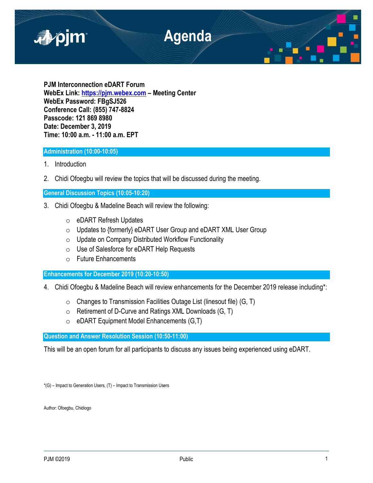

**PJM Interconnection eDART Forum WebEx Link: [https://pjm.webex.com](https://pjm.webex.com/) – Meeting Center WebEx Password: FBgSJ526 Conference Call: (855) 747-8824 Passcode: 121 869 8980 Date: December 3, 2019 Time: 10:00 a.m. - 11:00 a.m. EPT**

# **Administration (10:00-10:05)**

- 1. Introduction
- 2. Chidi Ofoegbu will review the topics that will be discussed during the meeting.

# **General Discussion Topics (10:05-10:20)**

- 3. Chidi Ofoegbu & Madeline Beach will review the following:
	- o eDART Refresh Updates
	- o Updates to {formerly} eDART User Group and eDART XML User Group
	- $\circ$  Update on Company Distributed Workflow Functionality
	- o Use of Salesforce for eDART Help Requests
	- o Future Enhancements

# **Enhancements for December 2019 (10:20-10:50)**

- 4. Chidi Ofoegbu & Madeline Beach will review enhancements for the December 2019 release including\*:
	- $\circ$  Changes to Transmission Facilities Outage List (linesout file) (G, T)
	- $\circ$  Retirement of D-Curve and Ratings XML Downloads (G, T)
	- $\circ$  eDART Equipment Model Enhancements (G,T)

**Question and Answer Resolution Session (10:50-11:00)**

This will be an open forum for all participants to discuss any issues being experienced using eDART.

\*(G) – Impact to Generation Users, (T) – Impact to Transmission Users

Author: Ofoegbu, Chidiogo